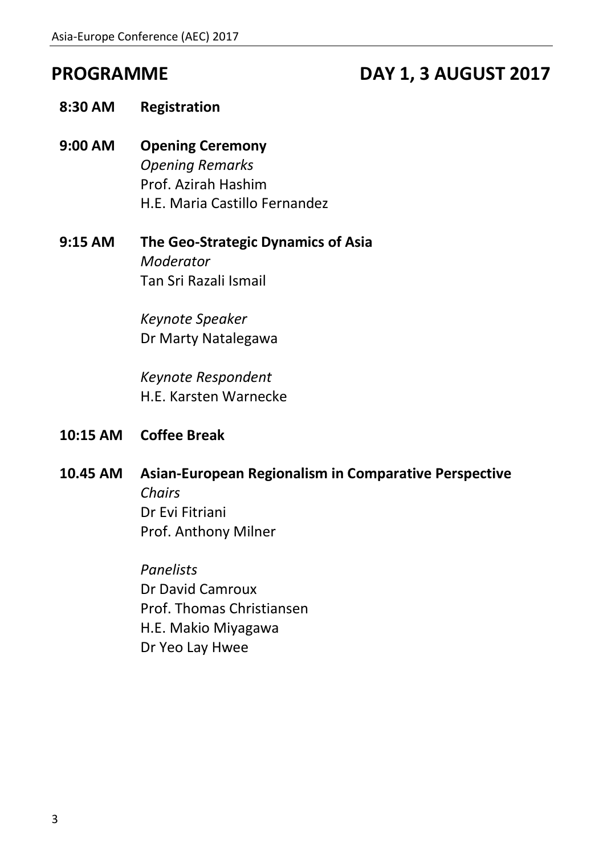# **PROGRAMME DAY 1, 3 AUGUST 2017**

- **8:30 AM Registration**
- **9:00 AM Opening Ceremony** *Opening Remarks* Prof. Azirah Hashim H.E. Maria Castillo Fernandez
- **9:15 AM The Geo-Strategic Dynamics of Asia** *Moderator* Tan Sri Razali Ismail

*Keynote Speaker* Dr Marty Natalegawa

*Keynote Respondent* H.E. Karsten Warnecke

- **10:15 AM Coffee Break**
- **10.45 AM Asian-European Regionalism in Comparative Perspective**  *Chairs* Dr Evi Fitriani Prof. Anthony Milner

*Panelists* Dr David Camroux Prof. Thomas Christiansen H.E. Makio Miyagawa Dr Yeo Lay Hwee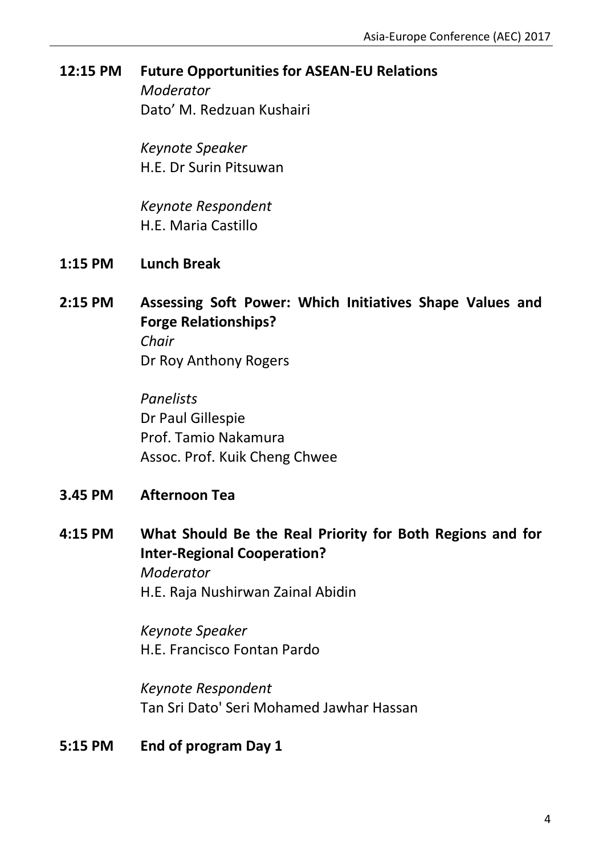### **12:15 PM Future Opportunities for ASEAN-EU Relations**

*Moderator* Dato' M. Redzuan Kushairi

*Keynote Speaker* H.E. Dr Surin Pitsuwan

*Keynote Respondent* H.E. Maria Castillo

- **1:15 PM Lunch Break**
- **2:15 PM Assessing Soft Power: Which Initiatives Shape Values and Forge Relationships?** *Chair*

Dr Roy Anthony Rogers

*Panelists* Dr Paul Gillespie Prof. Tamio Nakamura Assoc. Prof. Kuik Cheng Chwee

- **3.45 PM Afternoon Tea**
- **4:15 PM What Should Be the Real Priority for Both Regions and for Inter-Regional Cooperation?** *Moderator* H.E. Raja Nushirwan Zainal Abidin

*Keynote Speaker* H.E. Francisco Fontan Pardo

*Keynote Respondent* Tan Sri Dato' Seri Mohamed Jawhar Hassan

**5:15 PM End of program Day 1**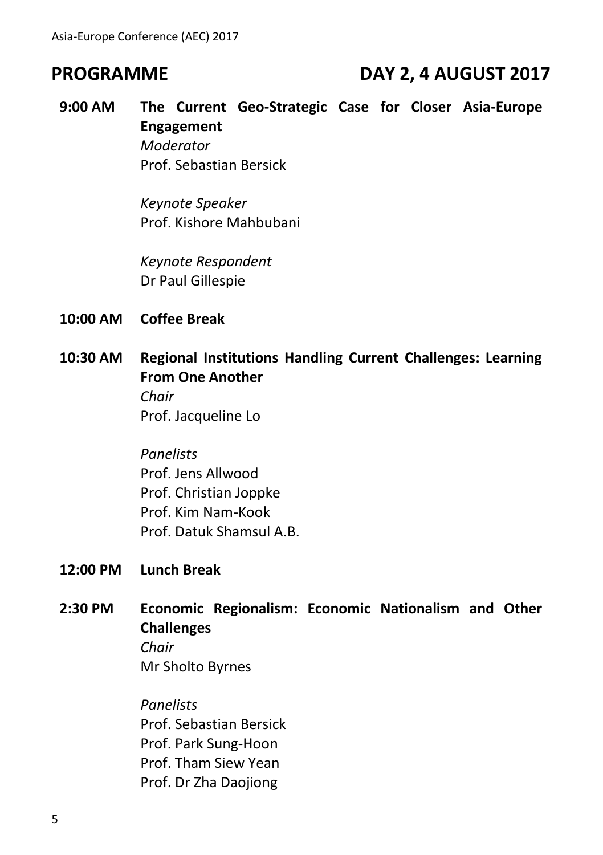## **PROGRAMME DAY 2, 4 AUGUST 2017**

**9:00 AM The Current Geo-Strategic Case for Closer Asia-Europe Engagement** *Moderator* Prof. Sebastian Bersick

> *Keynote Speaker* Prof. Kishore Mahbubani

*Keynote Respondent* Dr Paul Gillespie

- **10:00 AM Coffee Break**
- **10:30 AM Regional Institutions Handling Current Challenges: Learning From One Another**

*Chair* Prof. Jacqueline Lo

*Panelists* Prof. Jens Allwood Prof. Christian Joppke Prof. Kim Nam-Kook Prof. Datuk Shamsul A.B.

- **12:00 PM Lunch Break**
- **2:30 PM Economic Regionalism: Economic Nationalism and Other Challenges** *Chair* Mr Sholto Byrnes

*Panelists* Prof. Sebastian Bersick Prof. Park Sung-Hoon Prof. Tham Siew Yean Prof. Dr Zha Daojiong